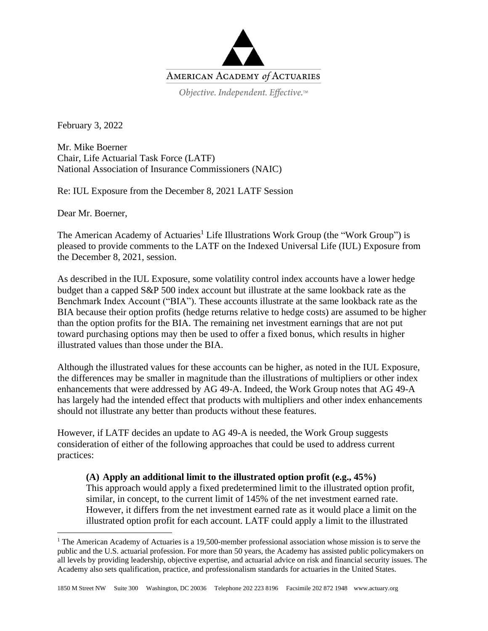

February 3, 2022

Mr. Mike Boerner Chair, Life Actuarial Task Force (LATF) National Association of Insurance Commissioners (NAIC)

Re: IUL Exposure from the December 8, 2021 LATF Session

Dear Mr. Boerner,

The American Academy of Actuaries<sup>1</sup> Life Illustrations Work Group (the "Work Group") is pleased to provide comments to the LATF on the Indexed Universal Life (IUL) Exposure from the December 8, 2021, session.

As described in the IUL Exposure, some volatility control index accounts have a lower hedge budget than a capped S&P 500 index account but illustrate at the same lookback rate as the Benchmark Index Account ("BIA"). These accounts illustrate at the same lookback rate as the BIA because their option profits (hedge returns relative to hedge costs) are assumed to be higher than the option profits for the BIA. The remaining net investment earnings that are not put toward purchasing options may then be used to offer a fixed bonus, which results in higher illustrated values than those under the BIA.

Although the illustrated values for these accounts can be higher, as noted in the IUL Exposure, the differences may be smaller in magnitude than the illustrations of multipliers or other index enhancements that were addressed by AG 49-A. Indeed, the Work Group notes that AG 49-A has largely had the intended effect that products with multipliers and other index enhancements should not illustrate any better than products without these features.

However, if LATF decides an update to AG 49-A is needed, the Work Group suggests consideration of either of the following approaches that could be used to address current practices:

## **(A) Apply an additional limit to the illustrated option profit (e.g., 45%)**

This approach would apply a fixed predetermined limit to the illustrated option profit, similar, in concept, to the current limit of 145% of the net investment earned rate. However, it differs from the net investment earned rate as it would place a limit on the illustrated option profit for each account. LATF could apply a limit to the illustrated

<sup>&</sup>lt;sup>1</sup> The American Academy of Actuaries is a 19,500-member professional association whose mission is to serve the public and the U.S. actuarial profession. For more than 50 years, the Academy has assisted public policymakers on all levels by providing leadership, objective expertise, and actuarial advice on risk and financial security issues. The Academy also sets qualification, practice, and professionalism standards for actuaries in the United States.